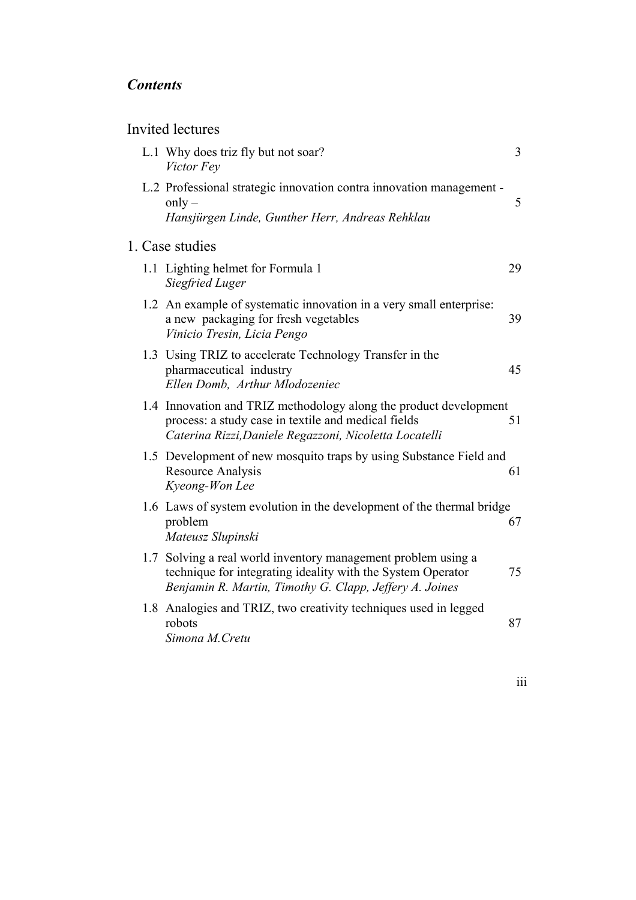## *Contents*

## Invited lectures

|  | L.1 Why does triz fly but not soar?<br>Victor Fey                                                                                                                                       | $\overline{3}$ |
|--|-----------------------------------------------------------------------------------------------------------------------------------------------------------------------------------------|----------------|
|  | L.2 Professional strategic innovation contra innovation management -<br>only $-$<br>Hansjürgen Linde, Gunther Herr, Andreas Rehklau                                                     | 5              |
|  | 1. Case studies                                                                                                                                                                         |                |
|  | 1.1 Lighting helmet for Formula 1<br><b>Siegfried Luger</b>                                                                                                                             | 29             |
|  | 1.2 An example of systematic innovation in a very small enterprise:<br>a new packaging for fresh vegetables<br>Vinicio Tresin, Licia Pengo                                              | 39             |
|  | 1.3 Using TRIZ to accelerate Technology Transfer in the<br>pharmaceutical industry<br>Ellen Domb, Arthur Mlodozeniec                                                                    | 45             |
|  | 1.4 Innovation and TRIZ methodology along the product development<br>process: a study case in textile and medical fields<br>Caterina Rizzi, Daniele Regazzoni, Nicoletta Locatelli      | 51             |
|  | 1.5 Development of new mosquito traps by using Substance Field and<br><b>Resource Analysis</b><br>Kyeong-Won Lee                                                                        | 61             |
|  | 1.6 Laws of system evolution in the development of the thermal bridge<br>problem<br>Mateusz Slupinski                                                                                   | 67             |
|  | 1.7 Solving a real world inventory management problem using a<br>technique for integrating ideality with the System Operator<br>Benjamin R. Martin, Timothy G. Clapp, Jeffery A. Joines | 75             |
|  | 1.8 Analogies and TRIZ, two creativity techniques used in legged<br>robots<br>Simona M. Cretu                                                                                           | 87             |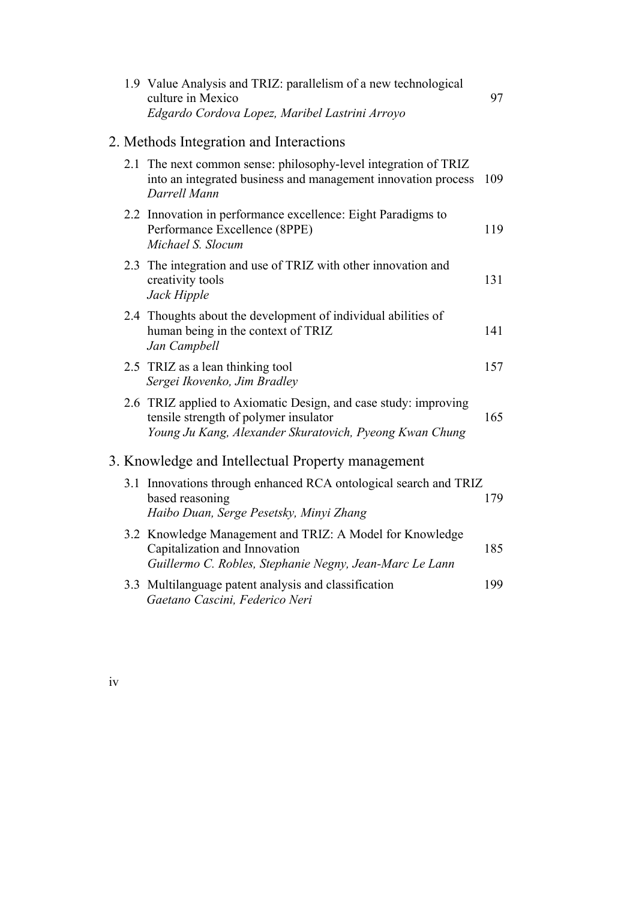|  | 1.9 Value Analysis and TRIZ: parallelism of a new technological<br>culture in Mexico<br>Edgardo Cordova Lopez, Maribel Lastrini Arroyo                              | 97  |
|--|---------------------------------------------------------------------------------------------------------------------------------------------------------------------|-----|
|  | 2. Methods Integration and Interactions                                                                                                                             |     |
|  | 2.1 The next common sense: philosophy-level integration of TRIZ<br>into an integrated business and management innovation process<br>Darrell Mann                    | 109 |
|  | 2.2 Innovation in performance excellence: Eight Paradigms to<br>Performance Excellence (8PPE)<br>Michael S. Slocum                                                  | 119 |
|  | 2.3 The integration and use of TRIZ with other innovation and<br>creativity tools<br>Jack Hipple                                                                    | 131 |
|  | 2.4 Thoughts about the development of individual abilities of<br>human being in the context of TRIZ<br>Jan Campbell                                                 | 141 |
|  | 2.5 TRIZ as a lean thinking tool<br>Sergei Ikovenko, Jim Bradley                                                                                                    | 157 |
|  | 2.6 TRIZ applied to Axiomatic Design, and case study: improving<br>tensile strength of polymer insulator<br>Young Ju Kang, Alexander Skuratovich, Pyeong Kwan Chung | 165 |
|  | 3. Knowledge and Intellectual Property management                                                                                                                   |     |
|  | 3.1 Innovations through enhanced RCA ontological search and TRIZ<br>based reasoning<br>Haibo Duan, Serge Pesetsky, Minyi Zhang                                      | 179 |
|  | 3.2 Knowledge Management and TRIZ: A Model for Knowledge<br>Capitalization and Innovation<br>Guillermo C. Robles, Stephanie Negny, Jean-Marc Le Lann                | 185 |
|  | 3.3 Multilanguage patent analysis and classification<br>Gaetano Cascini, Federico Neri                                                                              | 199 |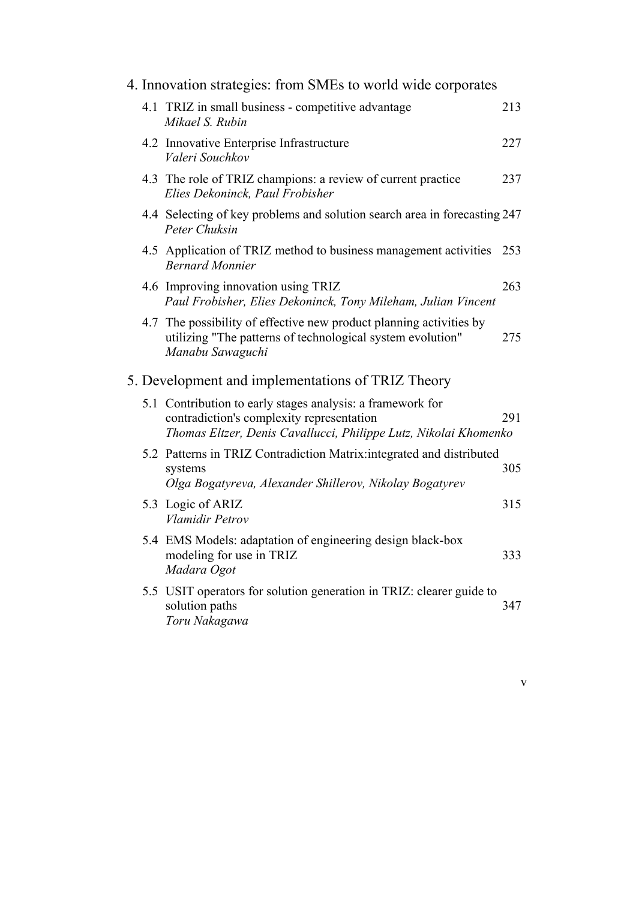|     | 4. Innovation strategies: from SMEs to world wide corporates                                                                                                                |     |
|-----|-----------------------------------------------------------------------------------------------------------------------------------------------------------------------------|-----|
|     | 4.1 TRIZ in small business - competitive advantage<br>Mikael S. Rubin                                                                                                       | 213 |
|     | 4.2 Innovative Enterprise Infrastructure<br>Valeri Souchkov                                                                                                                 | 227 |
|     | 4.3 The role of TRIZ champions: a review of current practice<br>Elies Dekoninck, Paul Frobisher                                                                             | 237 |
|     | 4.4 Selecting of key problems and solution search area in forecasting 247<br>Peter Chuksin                                                                                  |     |
|     | 4.5 Application of TRIZ method to business management activities<br><b>Bernard Monnier</b>                                                                                  | 253 |
|     | 4.6 Improving innovation using TRIZ<br>Paul Frobisher, Elies Dekoninck, Tony Mileham, Julian Vincent                                                                        | 263 |
| 4.7 | The possibility of effective new product planning activities by<br>utilizing "The patterns of technological system evolution"<br>Manabu Sawaguchi                           | 275 |
|     | 5. Development and implementations of TRIZ Theory                                                                                                                           |     |
|     | 5.1 Contribution to early stages analysis: a framework for<br>contradiction's complexity representation<br>Thomas Eltzer, Denis Cavallucci, Philippe Lutz, Nikolai Khomenko | 291 |
|     | 5.2 Patterns in TRIZ Contradiction Matrix: integrated and distributed<br>systems<br>Olga Bogatyreva, Alexander Shillerov, Nikolay Bogatyrev                                 | 305 |
|     | 5.3 Logic of ARIZ<br><b>Vlamidir Petrov</b>                                                                                                                                 | 315 |
|     | 5.4 EMS Models: adaptation of engineering design black-box<br>modeling for use in TRIZ<br>Madara Ogot                                                                       | 333 |
|     | 5.5 USIT operators for solution generation in TRIZ: clearer guide to<br>solution paths<br>Toru Nakagawa                                                                     | 347 |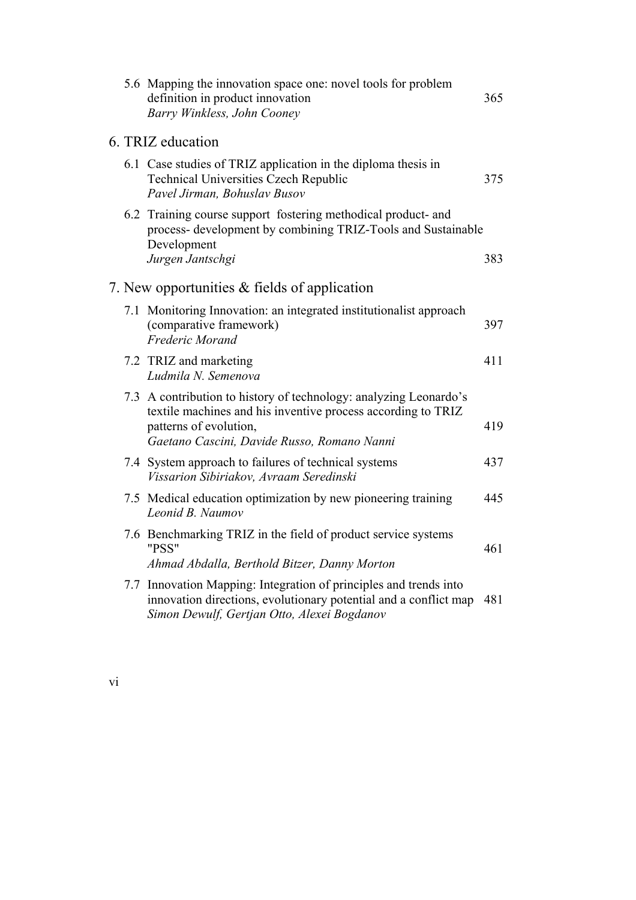| 5.6 Mapping the innovation space one: novel tools for problem<br>definition in product innovation<br>Barry Winkless, John Cooney                                                                           | 365 |
|------------------------------------------------------------------------------------------------------------------------------------------------------------------------------------------------------------|-----|
| 6. TRIZ education                                                                                                                                                                                          |     |
| 6.1 Case studies of TRIZ application in the diploma thesis in<br><b>Technical Universities Czech Republic</b><br>Pavel Jirman, Bohuslav Busov                                                              | 375 |
| 6.2 Training course support fostering methodical product- and<br>process- development by combining TRIZ-Tools and Sustainable<br>Development<br>Jurgen Jantschgi                                           | 383 |
| 7. New opportunities & fields of application                                                                                                                                                               |     |
| 7.1 Monitoring Innovation: an integrated institutionalist approach<br>(comparative framework)<br>Frederic Morand                                                                                           | 397 |
| 7.2 TRIZ and marketing<br>Ludmila N. Semenova                                                                                                                                                              | 411 |
| 7.3 A contribution to history of technology: analyzing Leonardo's<br>textile machines and his inventive process according to TRIZ<br>patterns of evolution,<br>Gaetano Cascini, Davide Russo, Romano Nanni | 419 |
| 7.4 System approach to failures of technical systems<br>Vissarion Sibiriakov, Avraam Seredinski                                                                                                            | 437 |
| 7.5 Medical education optimization by new pioneering training<br>Leonid B. Naumov                                                                                                                          | 445 |
| 7.6 Benchmarking TRIZ in the field of product service systems<br>"PSS"                                                                                                                                     | 461 |
| Ahmad Abdalla, Berthold Bitzer, Danny Morton                                                                                                                                                               |     |
| 7.7 Innovation Mapping: Integration of principles and trends into<br>innovation directions, evolutionary potential and a conflict map<br>Simon Dewulf, Gertjan Otto, Alexei Bogdanov                       | 481 |